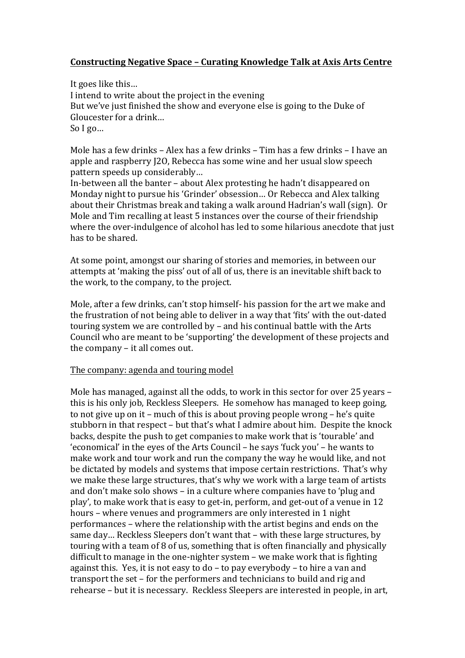## **Constructing Negative Space - Curating Knowledge Talk at Axis Arts Centre**

It goes like this... I intend to write about the project in the evening But we've just finished the show and everyone else is going to the Duke of Gloucester for a drink... So I go...

Mole has a few drinks – Alex has a few drinks – Tim has a few drinks – I have an apple and raspberry [20, Rebecca has some wine and her usual slow speech pattern speeds up considerably...

In-between all the banter – about Alex protesting he hadn't disappeared on Monday night to pursue his 'Grinder' obsession... Or Rebecca and Alex talking about their Christmas break and taking a walk around Hadrian's wall (sign). Or Mole and Tim recalling at least 5 instances over the course of their friendship where the over-indulgence of alcohol has led to some hilarious anecdote that just has to be shared.

At some point, amongst our sharing of stories and memories, in between our attempts at 'making the piss' out of all of us, there is an inevitable shift back to the work, to the company, to the project.

Mole, after a few drinks, can't stop himself- his passion for the art we make and the frustration of not being able to deliver in a way that 'fits' with the out-dated touring system we are controlled by – and his continual battle with the Arts Council who are meant to be 'supporting' the development of these projects and the company  $-$  it all comes out.

## The company: agenda and touring model

Mole has managed, against all the odds, to work in this sector for over 25 years  $$ this is his only job, Reckless Sleepers. He somehow has managed to keep going, to not give up on it – much of this is about proving people wrong – he's quite stubborn in that respect - but that's what I admire about him. Despite the knock backs, despite the push to get companies to make work that is 'tourable' and 'economical' in the eyes of the Arts Council – he says 'fuck you' – he wants to make work and tour work and run the company the way he would like, and not be dictated by models and systems that impose certain restrictions. That's why we make these large structures, that's why we work with a large team of artists and don't make solo shows - in a culture where companies have to 'plug and play', to make work that is easy to get-in, perform, and get-out of a venue in 12 hours – where venues and programmers are only interested in 1 night performances – where the relationship with the artist begins and ends on the same day... Reckless Sleepers don't want that  $-$  with these large structures, by touring with a team of 8 of us, something that is often financially and physically difficult to manage in the one-nighter system  $-$  we make work that is fighting against this. Yes, it is not easy to  $d_0$  – to pay everybody – to hire a van and transport the set – for the performers and technicians to build and rig and rehearse – but it is necessary. Reckless Sleepers are interested in people, in art,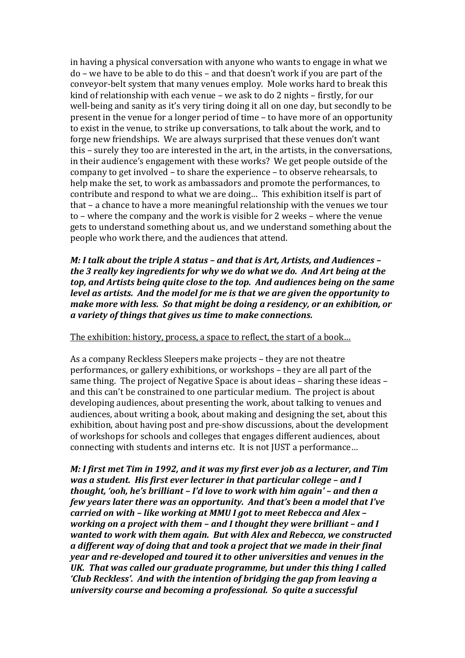in having a physical conversation with anyone who wants to engage in what we  $do$  – we have to be able to do this – and that doesn't work if you are part of the conveyor-belt system that many venues employ. Mole works hard to break this kind of relationship with each venue  $-$  we ask to do 2 nights  $-$  firstly, for our well-being and sanity as it's very tiring doing it all on one day, but secondly to be present in the venue for a longer period of time – to have more of an opportunity to exist in the venue, to strike up conversations, to talk about the work, and to forge new friendships. We are always surprised that these venues don't want this - surely they too are interested in the art, in the artists, in the conversations, in their audience's engagement with these works? We get people outside of the company to get involved  $-$  to share the experience  $-$  to observe rehearsals, to help make the set, to work as ambassadors and promote the performances, to contribute and respond to what we are doing... This exhibition itself is part of that  $-$  a chance to have a more meaningful relationship with the venues we tour to – where the company and the work is visible for 2 weeks – where the venue gets to understand something about us, and we understand something about the people who work there, and the audiences that attend.

*M: I talk about the triple A status – and that is Art, Artists, and Audiences – the 3 really key ingredients for why we do what we do. And Art being at the top, and Artists being quite close to the top. And audiences being on the same level as artists. And the model for me is that we are given the opportunity to make more with less. So that might be doing a residency, or an exhibition, or a variety of things that gives us time to make connections.*

The exhibition: history, process, a space to reflect, the start of a book...

As a company Reckless Sleepers make projects – they are not theatre performances, or gallery exhibitions, or workshops - they are all part of the same thing. The project of Negative Space is about ideas – sharing these ideas – and this can't be constrained to one particular medium. The project is about developing audiences, about presenting the work, about talking to venues and audiences, about writing a book, about making and designing the set, about this exhibition, about having post and pre-show discussions, about the development of workshops for schools and colleges that engages different audiences, about connecting with students and interns etc. It is not JUST a performance...

*M: I first met Tim in 1992, and it was my first ever job as a lecturer, and Tim was a student. His first ever lecturer in that particular college - and I thought, 'ooh, he's brilliant - I'd love to work with him again' - and then a few years later there was an opportunity. And that's been a model that I've carried on with – like working at MMU I got to meet Rebecca and Alex – working on a project with them – and I thought they were brilliant – and I wanted to work with them again. But with Alex and Rebecca, we constructed a* different way of doing that and took a project that we made in their final *year and re-developed and toured it to other universities and venues in the* UK. That was called our graduate programme, but under this thing I called *'Club* Reckless'. And with the intention of bridaing the gap from leaving a *university course and becoming a professional. So quite a successful*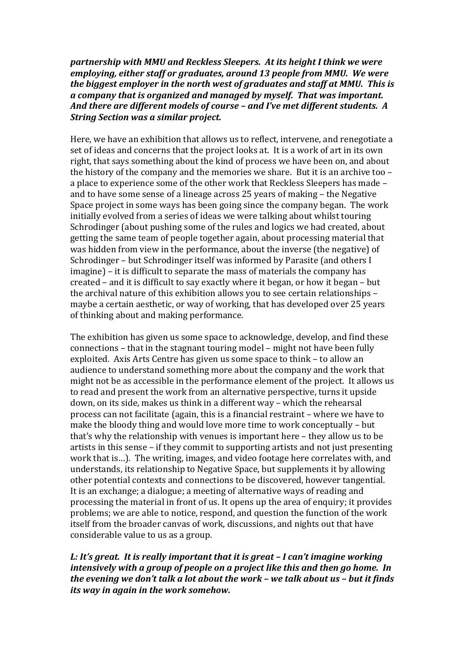*partnership* with MMU and Reckless Sleepers. At its height I think we were *emploving, either staff or graduates, around 13 people from MMU. We were the biggest employer in the north west of graduates and staff at MMU. This is a* company that is organized and managed by myself. That was important. And there are different models of course – and I've met different students. A *String Section was a similar project.*

Here, we have an exhibition that allows us to reflect, intervene, and renegotiate a set of ideas and concerns that the project looks at. It is a work of art in its own right, that says something about the kind of process we have been on, and about the history of the company and the memories we share. But it is an archive too  $$ a place to experience some of the other work that Reckless Sleepers has made and to have some sense of a lineage across 25 years of making – the Negative Space project in some ways has been going since the company began. The work initially evolved from a series of ideas we were talking about whilst touring Schrodinger (about pushing some of the rules and logics we had created, about getting the same team of people together again, about processing material that was hidden from view in the performance, about the inverse (the negative) of Schrodinger - but Schrodinger itself was informed by Parasite (and others I  $imagine$ ) – it is difficult to separate the mass of materials the company has created  $-$  and it is difficult to say exactly where it began, or how it began  $-$  but the archival nature of this exhibition allows you to see certain relationships maybe a certain aesthetic, or way of working, that has developed over 25 years of thinking about and making performance.

The exhibition has given us some space to acknowledge, develop, and find these connections  $-$  that in the stagnant touring model  $-$  might not have been fully exploited. Axis Arts Centre has given us some space to think – to allow an audience to understand something more about the company and the work that might not be as accessible in the performance element of the project. It allows us to read and present the work from an alternative perspective, turns it upside down, on its side, makes us think in a different way - which the rehearsal process can not facilitate (again, this is a financial restraint - where we have to make the bloody thing and would love more time to work conceptually  $-$  but that's why the relationship with venues is important here  $-$  they allow us to be artists in this sense  $-$  if they commit to supporting artists and not just presenting work that is...). The writing, images, and video footage here correlates with, and understands, its relationship to Negative Space, but supplements it by allowing other potential contexts and connections to be discovered, however tangential. It is an exchange; a dialogue; a meeting of alternative ways of reading and processing the material in front of us. It opens up the area of enquiry; it provides problems; we are able to notice, respond, and question the function of the work itself from the broader canvas of work, discussions, and nights out that have considerable value to us as a group.

## L: It's great. It is really important that it is great – I can't imagine working *intensively with a group of people on a project like this and then go home. In the evening we don't talk a lot about the work* – *we talk about us* – but it finds *its* way in again in the work somehow.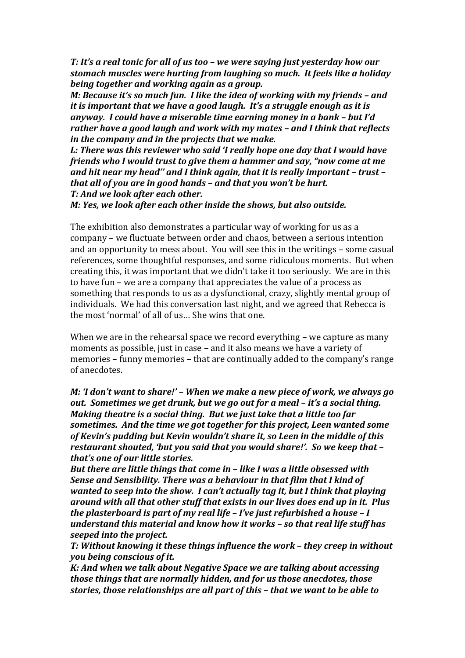T: It's a real tonic for all of us too – we were saying just yesterday how our *stomach muscles were hurting from laughing so much. It feels like a holiday being together and working again as a group.* 

*M: Because it's so much fun. I like the idea of working with my friends – and it is important that we have a good laugh. It's a struggle enough as it is anyway. I could have a miserable time earning money in a bank – but I'd rather have a good laugh and work with my mates - and I think that reflects in the company and in the projects that we make.* 

L: There was this reviewer who said 'I really hope one day that I would have *friends* who I would trust to give them a hammer and say, "now come at me and hit near my head" and I think again, that it is really important - trust *that all of you are in good hands – and that you won't be hurt. T: And we look after each other.* 

*M: Yes, we look after each other inside the shows, but also outside.* 

The exhibition also demonstrates a particular way of working for us as a company - we fluctuate between order and chaos, between a serious intention and an opportunity to mess about. You will see this in the writings – some casual references, some thoughtful responses, and some ridiculous moments. But when creating this, it was important that we didn't take it too seriously. We are in this to have fun - we are a company that appreciates the value of a process as something that responds to us as a dysfunctional, crazy, slightly mental group of individuals. We had this conversation last night, and we agreed that Rebecca is the most 'normal' of all of us... She wins that one.

When we are in the rehearsal space we record everything  $-$  we capture as many moments as possible, just in case – and it also means we have a variety of memories - funny memories - that are continually added to the company's range of anecdotes.

*M:* 'I don't want to share!' – When we make a new piece of work, we always go *out.* Sometimes we get drunk, but we go out for a meal - it's a social thing. *Making theatre is a social thing. But we just take that a little too far* sometimes. And the time we got together for this project, Leen wanted some of Kevin's pudding but Kevin wouldn't share it, so Leen in the middle of this *restaurant shouted, 'but you said that you would share!'. So we keep that that's* one of our little stories.

*But there are little things that come in – like I was a little obsessed with* Sense and Sensibility. There was a behaviour in that film that I kind of *wanted to seep into the show. I can't actually tag it, but I think that playing around with all that other stuff that exists in our lives does end up in it. Plus the plasterboard is part of my real life - I've just refurbished a house - I understand this material and know how it works - so that real life stuff has seeped into the project.*

*T:* Without knowing it these things influence the work – they creep in without *you being conscious of it.*

*K: And when we talk about Negative Space we are talking about accessing those things that are normally hidden, and for us those anecdotes, those* stories, those relationships are all part of this - that we want to be able to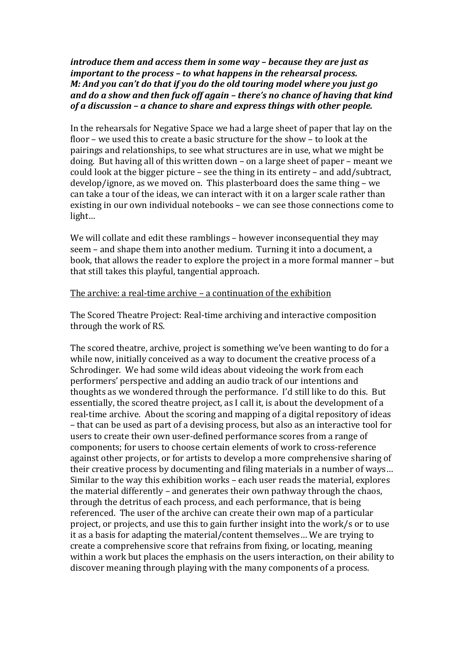*introduce them and access them in some way – because they are just as important to the process – to what happens in the rehearsal process. M: And you can't do that if you do the old touring model where you just go* and do a show and then fuck off again – there's no chance of having that kind *of a discussion – a chance to share and express things with other people.* 

In the rehearsals for Negative Space we had a large sheet of paper that lay on the floor – we used this to create a basic structure for the show – to look at the pairings and relationships, to see what structures are in use, what we might be doing. But having all of this written down – on a large sheet of paper – meant we could look at the bigger picture  $-$  see the thing in its entirety  $-$  and add/subtract, develop/ignore, as we moved on. This plasterboard does the same thing  $-$  we can take a tour of the ideas, we can interact with it on a larger scale rather than existing in our own individual notebooks – we can see those connections come to light…

We will collate and edit these ramblings – however inconsequential they may seem – and shape them into another medium. Turning it into a document, a book, that allows the reader to explore the project in a more formal manner – but that still takes this playful, tangential approach.

## The archive: a real-time archive  $-$  a continuation of the exhibition

The Scored Theatre Project: Real-time archiving and interactive composition through the work of RS.

The scored theatre, archive, project is something we've been wanting to do for a while now, initially conceived as a way to document the creative process of a Schrodinger. We had some wild ideas about videoing the work from each performers' perspective and adding an audio track of our intentions and thoughts as we wondered through the performance. I'd still like to do this. But essentially, the scored theatre project, as I call it, is about the development of a real-time archive. About the scoring and mapping of a digital repository of ideas – that can be used as part of a devising process, but also as an interactive tool for users to create their own user-defined performance scores from a range of components; for users to choose certain elements of work to cross-reference against other projects, or for artists to develop a more comprehensive sharing of their creative process by documenting and filing materials in a number of ways... Similar to the way this exhibition works - each user reads the material, explores the material differently – and generates their own pathway through the chaos, through the detritus of each process, and each performance, that is being referenced. The user of the archive can create their own map of a particular project, or projects, and use this to gain further insight into the work/s or to use it as a basis for adapting the material/content themselves... We are trying to create a comprehensive score that refrains from fixing, or locating, meaning within a work but places the emphasis on the users interaction, on their ability to discover meaning through playing with the many components of a process.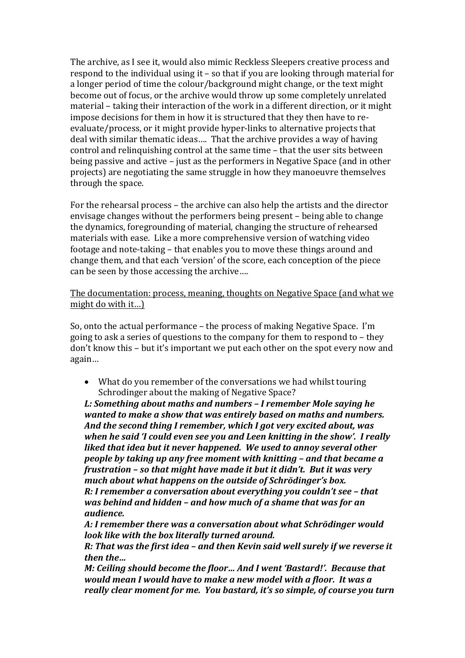The archive, as I see it, would also mimic Reckless Sleepers creative process and respond to the individual using it – so that if you are looking through material for a longer period of time the colour/background might change, or the text might become out of focus, or the archive would throw up some completely unrelated material – taking their interaction of the work in a different direction, or it might impose decisions for them in how it is structured that they then have to reevaluate/process, or it might provide hyper-links to alternative projects that deal with similar thematic ideas.... That the archive provides a way of having control and relinquishing control at the same time - that the user sits between being passive and active  $-$  just as the performers in Negative Space (and in other projects) are negotiating the same struggle in how they manoeuvre themselves through the space.

For the rehearsal process – the archive can also help the artists and the director envisage changes without the performers being present – being able to change the dynamics, foregrounding of material, changing the structure of rehearsed materials with ease. Like a more comprehensive version of watching video footage and note-taking – that enables you to move these things around and change them, and that each 'version' of the score, each conception of the piece can be seen by those accessing the archive....

The documentation: process, meaning, thoughts on Negative Space (and what we might do with  $it...$ )

So, onto the actual performance – the process of making Negative Space. I'm going to ask a series of questions to the company for them to respond to  $-$  they don't know this – but it's important we put each other on the spot every now and again…

• What do you remember of the conversations we had whilst touring Schrodinger about the making of Negative Space?

L: Something about maths and numbers - I remember Mole saying he *wanted to make a show that was entirely based on maths and numbers.* And the second thing I remember, which I got very excited about, was *when he said 'I could even see you and Leen knitting in the show'. I really liked that idea but it never happened. We used to annoy several other people by taking up any free moment with knitting – and that became a frustration* – *so that might have made it but it didn't. But it was very much about what happens on the outside of Schrödinger's box. R: I remember a conversation about everything you couldn't see – that was behind and hidden - and how much of a shame that was for an audience.*

A: I remember there was a conversation about what Schrödinger would *look like with the box literally turned around.* 

R: That was the first idea – and then Kevin said well surely if we reverse it *then the…*

*M: Ceiling should become the floor... And I went 'Bastard!'. Because that would mean I would have to make a new model with a floor. It was a really clear moment for me. You bastard, it's so simple, of course you turn*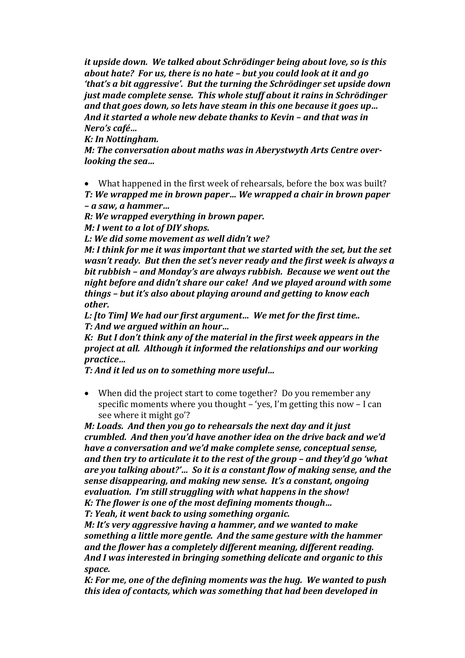*it upside down.* We talked about Schrödinger being about love, so is this *about hate? For us, there is no hate – but you could look at it and go* 'that's a bit aggressive'. But the turning the Schrödinger set upside down *just made complete sense. This whole stuff about it rains in Schrödinger* and that goes down, so lets have steam in this one because it goes up... *And it started a whole new debate thanks to Kevin – and that was in Nero's café…*

*K: In Nottingham.*

*M: The conversation about maths was in Aberystwyth Arts Centre overlooking the sea...* 

• What happened in the first week of rehearsals, before the box was built? T: We wrapped me in brown paper... We wrapped a chair in brown paper *– a saw, a hammer…* 

*R:* We wrapped everything in brown paper.

*M: I* went to a lot of DIY shops.

L: We did some movement as well didn't we?

*M: I think for me it was important that we started with the set, but the set wasn't ready.* But then the set's never ready and the first week is always a bit rubbish – and Monday's are always rubbish. Because we went out the *night before and didn't share our cake! And we played around with some things* – but it's also about playing around and getting to know each *other.*

L: [to Tim] We had our first argument... We met for the first time.. *T: And we argued within an hour…*

*K: But I don't think any of the material in the first week appears in the project at all. Although it informed the relationships and our working practice…*

*T: And it led us on to something more useful…*

• When did the project start to come together? Do you remember any specific moments where you thought  $-$  'yes, I'm getting this now  $-$  I can see where it might go'?

*M: Loads. And then you go to rehearsals the next day and it just crumbled. And then you'd have another idea on the drive back and we'd*  have a conversation and we'd make complete sense, conceptual sense, *and then try to articulate it to the rest of the group – and they'd go 'what are you talking about?'...* So it is a constant flow of making sense, and the *sense disappearing, and making new sense. It's a constant, ongoing evaluation.* I'm still struggling with what happens in the show! *K:* The flower is one of the most defining moments though...

*T: Yeah, it went back to using something organic.* 

*M: It's very aggressive having a hammer, and we wanted to make* something a little more gentle. And the same gesture with the hammer and the flower has a completely different meaning, different reading. And I was interested in bringing something delicate and organic to this *space.*

*K: For me, one of the defining moments was the hug. We wanted to push* this idea of contacts, which was something that had been developed in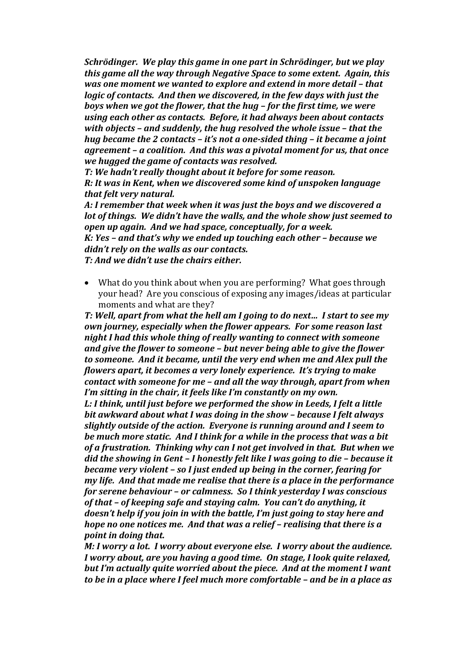*Schrödinger.* We play this game in one part in Schrödinger, but we play *this game all the way through Negative Space to some extent. Again, this was one moment we wanted to explore and extend in more detail – that logic* of contacts. And then we discovered, in the few days with just the *boys* when we got the flower, that the hug - for the first time, we were using each other as contacts. Before, it had always been about contacts *with objects* – and suddenly, the hug resolved the whole issue – that the *hug* became the 2 contacts – *it's* not a one-sided thing – *it* became a joint *agreement* - *a* coalition. And this was a pivotal moment for us, that once *we hugged the game of contacts was resolved.* 

T: We hadn't really thought about it before for some reason. *R: It was in Kent, when we discovered some kind of unspoken language that felt very natural.*

A: I remember that week when it was just the boys and we discovered a *lot* of things. We didn't have the walls, and the whole show just seemed to *open up again. And we had space, conceptually, for a week. K: Yes – and that's why we ended up touching each other – because we* didn't rely on the walls as our contacts. *T:* And we didn't use the chairs either.

• What do you think about when you are performing? What goes through your head? Are you conscious of exposing any images/ideas at particular moments and what are they?

T: Well, apart from what the hell am I going to do next... I start to see my *own journey, especially when the flower appears. For some reason last night I had this whole thing of really wanting to connect with someone* and give the flower to someone - but never being able to give the flower *to someone. And it became, until the very end when me and Alex pull the flowers apart, it becomes a very lonely experience. It's trying to make contact* with someone for me - and all the way through, apart from when *I'm sitting in the chair, it feels like I'm constantly on my own.* 

L: I think, until just before we performed the show in Leeds, I felt a little bit awkward about what I was doing in the show - because I felt always *slightly outside of the action. Everyone is running around and I seem to be much more static. And I think for a while in the process that was a bit* of a frustration. Thinking why can I not get involved in that. But when we *did the showing in Gent – I honestly felt like I was going to die – because it became very violent - so I just ended up being in the corner, fearing for my* life. And that made me realise that there is a place in the performance *for serene behaviour - or calmness. So I think yesterday I was conscious* of that – of keeping safe and staying calm. You can't do anything, it *doesn't help if you join in with the battle, I'm just going to stay here and hope no one notices me. And that was a relief – realising that there is a point in doing that.* 

*M:* I worry a lot. I worry about everyone else. I worry about the audience. *I* worry about, are you having a good time. On stage, I look quite relaxed, but I'm actually quite worried about the piece. And at the moment I want *to be in a place where I feel much more comfortable – and be in a place as*